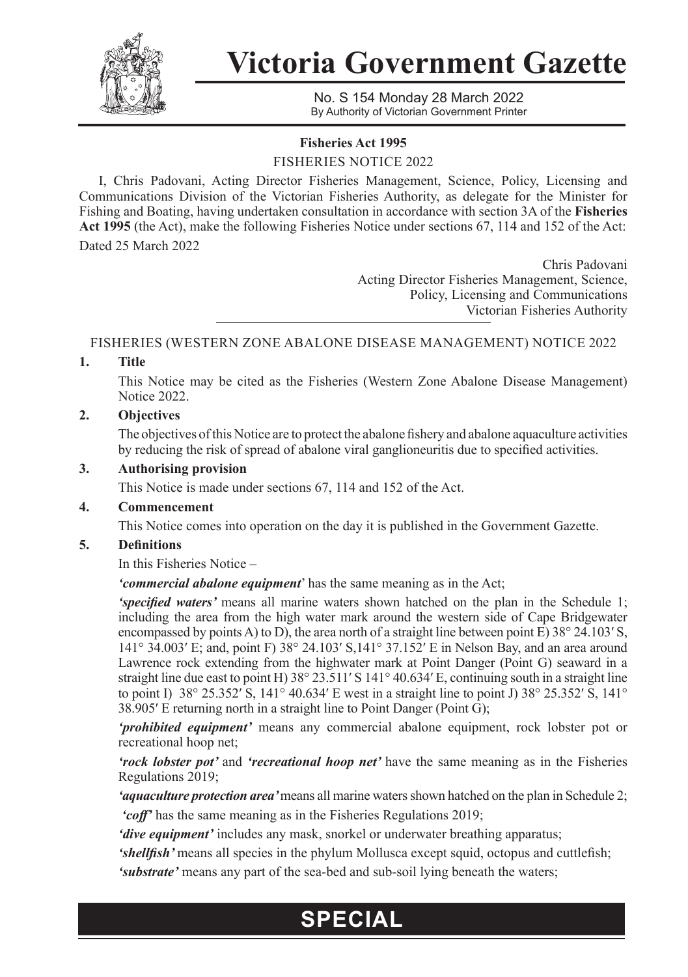

**Victoria Government Gazette**

No. S 154 Monday 28 March 2022 By Authority of Victorian Government Printer

# **Fisheries Act 1995**

FISHERIES NOTICE 2022

I, Chris Padovani, Acting Director Fisheries Management, Science, Policy, Licensing and Communications Division of the Victorian Fisheries Authority, as delegate for the Minister for Fishing and Boating, having undertaken consultation in accordance with section 3A of the **Fisheries Act 1995** (the Act), make the following Fisheries Notice under sections 67, 114 and 152 of the Act:

Dated 25 March 2022

Chris Padovani Acting Director Fisheries Management, Science, Policy, Licensing and Communications Victorian Fisheries Authority

# FISHERIES (WESTERN ZONE ABALONE DISEASE MANAGEMENT) NOTICE 2022

# **1. Title**

This Notice may be cited as the Fisheries (Western Zone Abalone Disease Management) Notice 2022.

# **2. Objectives**

The objectives of this Notice are to protect the abalone fishery and abalone aquaculture activities by reducing the risk of spread of abalone viral ganglioneuritis due to specified activities.

#### **3. Authorising provision**

This Notice is made under sections 67, 114 and 152 of the Act.

#### **4. Commencement**

This Notice comes into operation on the day it is published in the Government Gazette.

#### **5. Definitions**

In this Fisheries Notice –

*'commercial abalone equipment*' has the same meaning as in the Act;

*'specified waters'* means all marine waters shown hatched on the plan in the Schedule 1; including the area from the high water mark around the western side of Cape Bridgewater encompassed by points A) to D), the area north of a straight line between point E)  $38^{\circ}$  24.103' S, 141° 34.003′ E; and, point F) 38° 24.103′ S,141° 37.152′ E in Nelson Bay, and an area around Lawrence rock extending from the highwater mark at Point Danger (Point G) seaward in a straight line due east to point H) 38° 23.511′ S 141° 40.634′ E, continuing south in a straight line to point I) 38° 25.352′ S, 141° 40.634′ E west in a straight line to point J) 38° 25.352′ S, 141°  $38.905'$  E returning north in a straight line to Point Danger (Point G);

*'prohibited equipment'* means any commercial abalone equipment, rock lobster pot or recreational hoop net;

*'rock lobster pot'* and *'recreational hoop net'* have the same meaning as in the Fisheries Regulations 2019;

*'aquaculture protection area'* means all marine waters shown hatched on the plan in Schedule 2;  *'coff'* has the same meaning as in the Fisheries Regulations 2019;

*'dive equipment'* includes any mask, snorkel or underwater breathing apparatus;

*'shellfish'* means all species in the phylum Mollusca except squid, octopus and cuttlefish; *'substrate'* means any part of the sea-bed and sub-soil lying beneath the waters;

# **SPECIAL**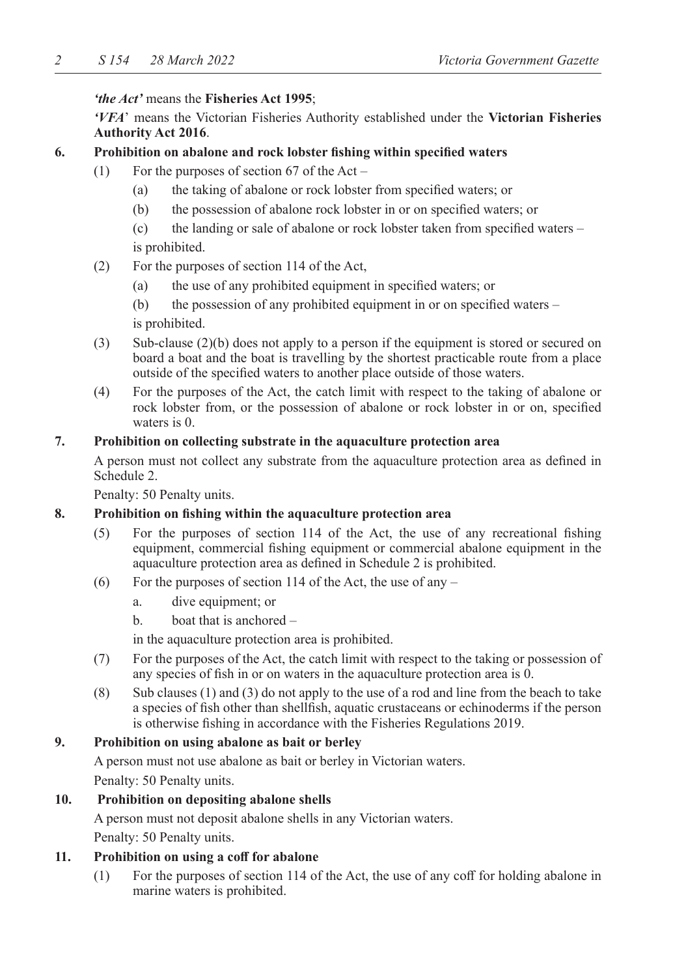#### *'the Act'* means the **Fisheries Act 1995**;

*'VFA*' means the Victorian Fisheries Authority established under the **Victorian Fisheries Authority Act 2016**.

#### **6. Prohibition on abalone and rock lobster fishing within specified waters**

- (1) For the purposes of section 67 of the Act
	- (a) the taking of abalone or rock lobster from specified waters; or
	- (b) the possession of abalone rock lobster in or on specified waters; or
	- (c) the landing or sale of abalone or rock lobster taken from specified waters is prohibited.
- (2) For the purposes of section 114 of the Act,
	- (a) the use of any prohibited equipment in specified waters; or
	- (b) the possession of any prohibited equipment in or on specified waters is prohibited.
- (3) Sub-clause (2)(b) does not apply to a person if the equipment is stored or secured on board a boat and the boat is travelling by the shortest practicable route from a place outside of the specified waters to another place outside of those waters.
- (4) For the purposes of the Act, the catch limit with respect to the taking of abalone or rock lobster from, or the possession of abalone or rock lobster in or on, specified waters is 0.

#### **7. Prohibition on collecting substrate in the aquaculture protection area**

A person must not collect any substrate from the aquaculture protection area as defined in Schedule 2.

Penalty: 50 Penalty units.

#### **8. Prohibition on fishing within the aquaculture protection area**

- (5) For the purposes of section 114 of the Act, the use of any recreational fishing equipment, commercial fishing equipment or commercial abalone equipment in the aquaculture protection area as defined in Schedule 2 is prohibited.
- (6) For the purposes of section 114 of the Act, the use of any  $$ 
	- a. dive equipment; or
	- b. boat that is anchored –

in the aquaculture protection area is prohibited.

- (7) For the purposes of the Act, the catch limit with respect to the taking or possession of any species of fish in or on waters in the aquaculture protection area is 0.
- (8) Sub clauses (1) and (3) do not apply to the use of a rod and line from the beach to take a species of fish other than shellfish, aquatic crustaceans or echinoderms if the person is otherwise fishing in accordance with the Fisheries Regulations 2019.

# **9. Prohibition on using abalone as bait or berley**

A person must not use abalone as bait or berley in Victorian waters. Penalty: 50 Penalty units.

# **10. Prohibition on depositing abalone shells**

A person must not deposit abalone shells in any Victorian waters.

Penalty: 50 Penalty units.

#### **11. Prohibition on using a coff for abalone**

(1) For the purposes of section 114 of the Act, the use of any coff for holding abalone in marine waters is prohibited.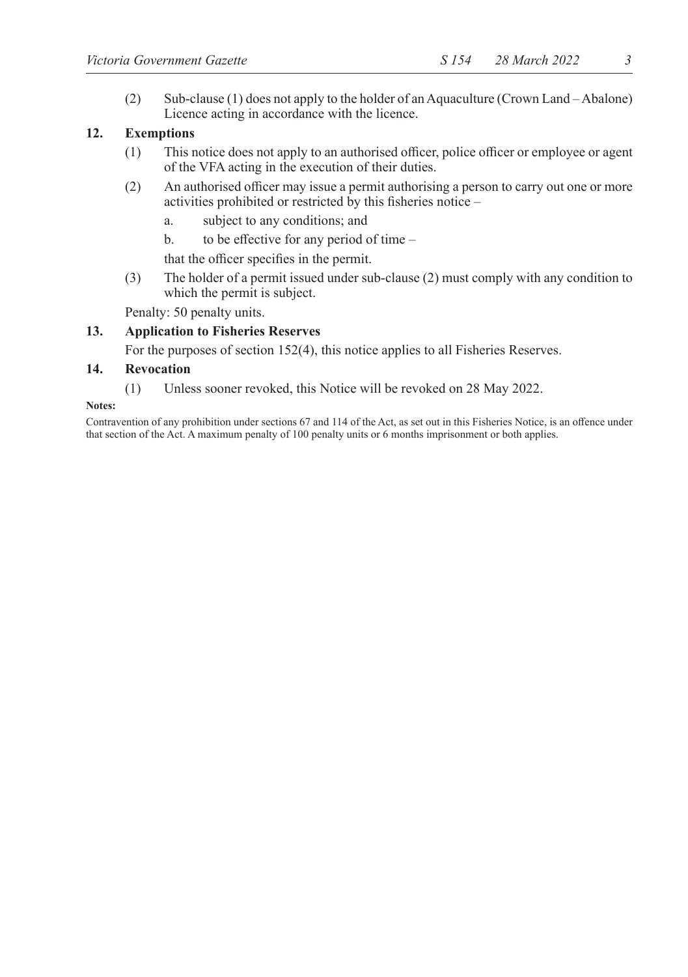(2) Sub-clause (1) does not apply to the holder of an Aquaculture (Crown Land – Abalone) Licence acting in accordance with the licence.

# **12. Exemptions**

- (1) This notice does not apply to an authorised officer, police officer or employee or agent of the VFA acting in the execution of their duties.
- (2) An authorised officer may issue a permit authorising a person to carry out one or more activities prohibited or restricted by this fisheries notice –
	- a. subject to any conditions; and
	- b. to be effective for any period of time –

that the officer specifies in the permit.

(3) The holder of a permit issued under sub-clause (2) must comply with any condition to which the permit is subject.

Penalty: 50 penalty units.

#### **13. Application to Fisheries Reserves**

For the purposes of section 152(4), this notice applies to all Fisheries Reserves.

#### **14. Revocation**

(1) Unless sooner revoked, this Notice will be revoked on 28 May 2022.

**Notes:**

Contravention of any prohibition under sections 67 and 114 of the Act, as set out in this Fisheries Notice, is an offence under that section of the Act. A maximum penalty of 100 penalty units or 6 months imprisonment or both applies.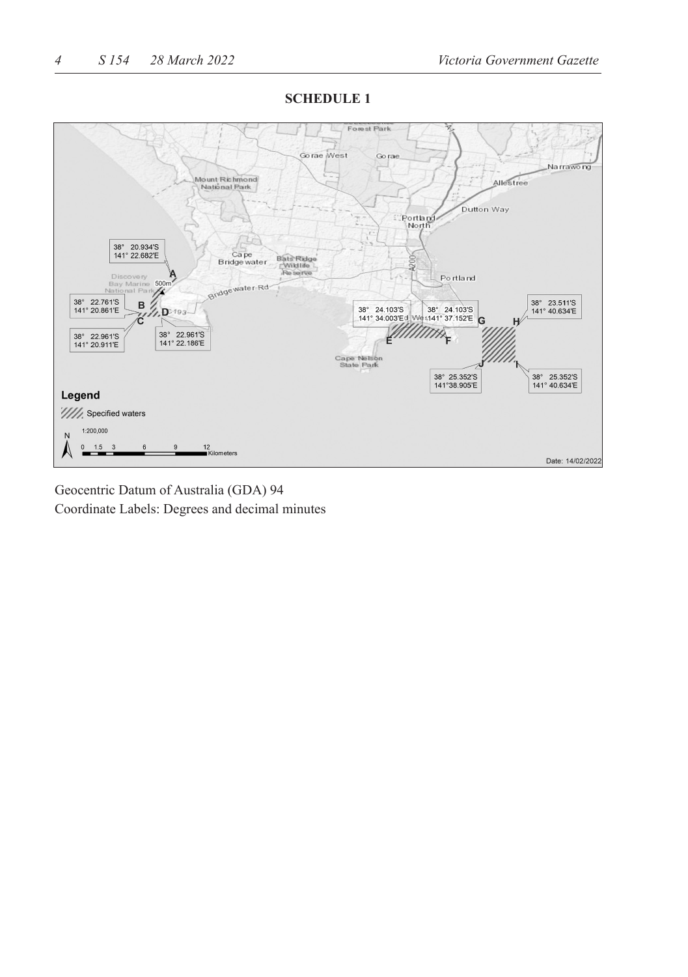

**SCHEDULE 1**

Geocentric Datum of Australia (GDA) 94 Coordinate Labels: Degrees and decimal minutes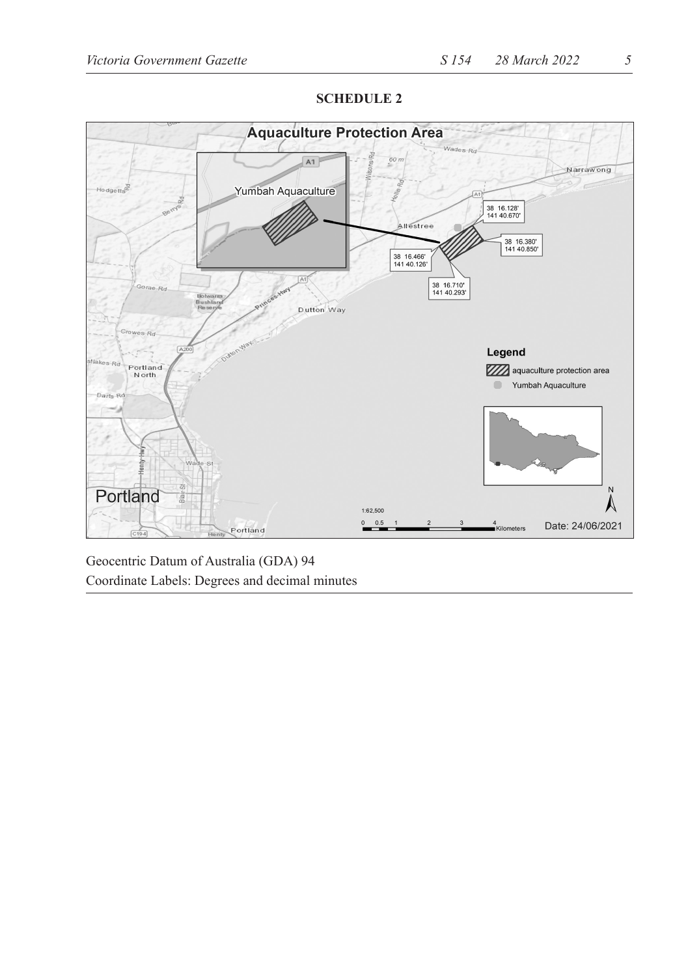

#### **SCHEDULE 2**

Geocentric Datum of Australia (GDA) 94 Coordinate Labels: Degrees and decimal minutes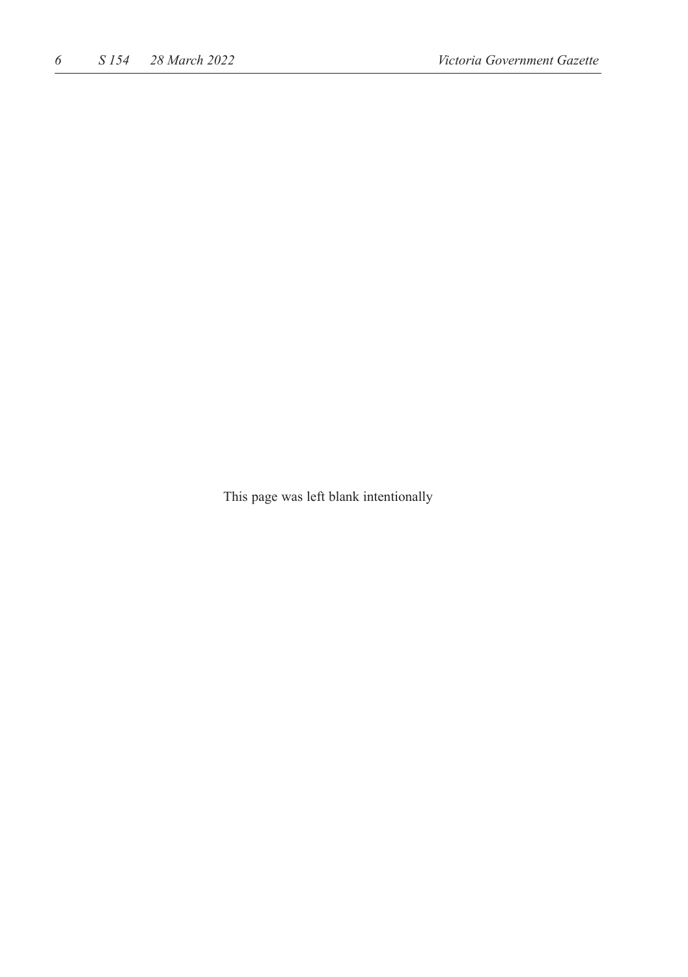This page was left blank intentionally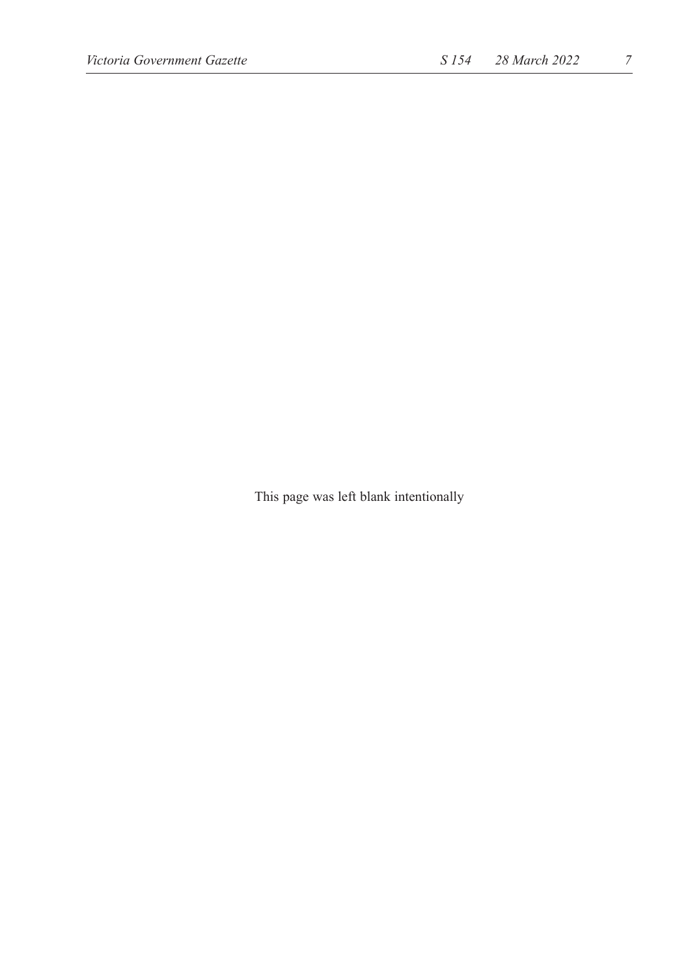This page was left blank intentionally